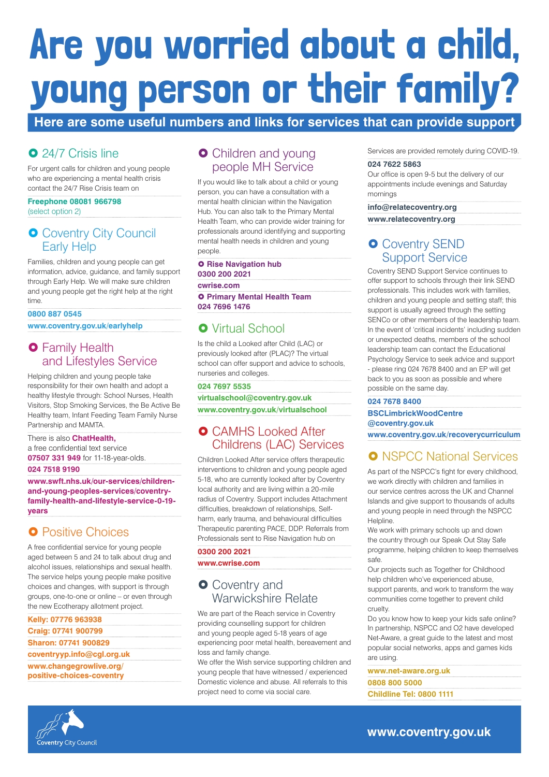# Are you worried about a child, young person or their family?

# **Here are some useful numbers and links for services that can provide support**

# **O** 24/7 Crisis line

## **O** Coventry City Council Early Help

For urgent calls for children and young people who are experiencing a mental health crisis contact the 24/7 Rise Crisis team on

## **Freephone 08081 966798**

(select option 2)

# **O** Family Health and Lifestyles Service

Families, children and young people can get information, advice, guidance, and family support through Early Help. We will make sure children and young people get the right help at the right time.

## **0800 887 0545**

**www.coventry.gov.uk/earlyhelp**

Helping children and young people take responsibility for their own health and adopt a healthy lifestyle through: School Nurses, Health Visitors, Stop Smoking Services, the Be Active Be Healthy team, Infant Feeding Team Family Nurse Partnership and MAMTA.

## **O** Children and young people MH Service

There is also **ChatHealth,** a free confidential text service **07507 331 949** for 11-18-year-olds.

#### **024 7518 9190**

#### **O Rise Navigation hub 0300 200 2021**

**O Primary Mental Health Team 024 7696 1476**

# **O** Virtual School

**www.swft.nhs.uk/our-services/childrenand-young-peoples-services/coventryfamily-health-and-lifestyle-service-0-19 years** 

# **O** Positive Choices

## **O** CAMHS Looked After Childrens (LAC) Services

A free confidential service for young people aged between 5 and 24 to talk about drug and alcohol issues, relationships and sexual health. The service helps young people make positive choices and changes, with support is through groups, one-to-one or online – or even through the new Ecotherapy allotment project.

## **O** Coventry and Warwickshire Relate

**Kelly: 07776 963938**

**Craig: 07741 900799 Sharon: 07741 900829 coventryyp.info@cgl.org.uk www.changegrowlive.org/ positive-choices-coventry**

# **O** Coventry SEND Support Service

If you would like to talk about a child or young person, you can have a consultation with a mental health clinician within the Navigation Hub. You can also talk to the Primary Mental Health Team, who can provide wider training for professionals around identifying and supporting mental health needs in children and young people.

**cwrise.com**

Is the child a Looked after Child (LAC) or previously looked after (PLAC)? The virtual school can offer support and advice to schools, nurseries and colleges.

#### **024 7697 5535**

**virtualschool@coventry.gov.uk www.coventry.gov.uk/virtualschool**

Children Looked After service offers therapeutic interventions to children and young people aged 5-18, who are currently looked after by Coventry local authority and are living within a 20-mile radius of Coventry. Support includes Attachment difficulties, breakdown of relationships, Selfharm, early trauma, and behavioural difficulties Therapeutic parenting PACE, DDP. Referrals from Professionals sent to Rise Navigation hub on

#### **0300 200 2021 www.cwrise.com**

We are part of the Reach service in Coventry providing counselling support for children and young people aged 5-18 years of age experiencing poor metal health, bereavement and loss and family change. We offer the Wish service supporting children and young people that have witnessed / experienced Domestic violence and abuse. All referrals to this project need to come via social care.

Services are provided remotely during COVID-19.

#### **024 7622 5863**

Our office is open 9-5 but the delivery of our appointments include evenings and Saturday mornings

## **info@relatecoventry.org**

**www.relatecoventry.org**

Coventry SEND Support Service continues to offer support to schools through their link SEND professionals. This includes work with families, children and young people and setting staff; this support is usually agreed through the setting SENCo or other members of the leadership team. In the event of 'critical incidents' including sudden or unexpected deaths, members of the school leadership team can contact the Educational Psychology Service to seek advice and support - please ring 024 7678 8400 and an EP will get back to you as soon as possible and where possible on the same day.

#### **024 7678 8400**

**BSCLimbrickWoodCentre @coventry.gov.uk** 

**www.coventry.gov.uk/recoverycurriculum**

# **O** NSPCC National Services

As part of the NSPCC's fight for every childhood, we work directly with children and families in our service centres across the UK and Channel Islands and give support to thousands of adults and young people in need through the NSPCC Helpline.

We work with primary schools up and down the country through our Speak Out Stay Safe programme, helping children to keep themselves safe.

Our projects such as Together for Childhood help children who've experienced abuse, support parents, and work to transform the way communities come together to prevent child cruelty.

Do you know how to keep your kids safe online? In partnership, NSPCC and O2 have developed Net-Aware, a great guide to the latest and most popular social networks, apps and games kids are using.

**www.net-aware.org.uk 0808 800 5000 Childline Tel: 0800 1111**



## **www.coventry.gov.uk**